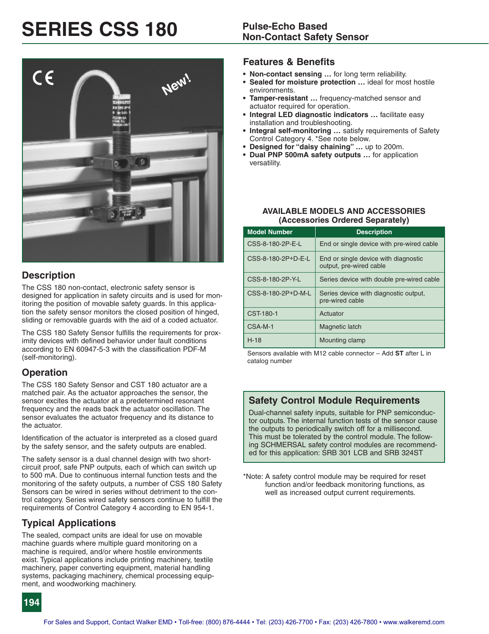# **SERIES CSS 180 Pulse-Echo Based**



### **Description**

The CSS 180 non-contact, electronic safety sensor is designed for application in safety circuits and is used for monitoring the position of movable safety guards. In this application the safety sensor monitors the closed position of hinged, sliding or removable guards with the aid of a coded actuator.

The CSS 180 Safety Sensor fulfills the requirements for proximity devices with defined behavior under fault conditions according to EN 60947-5-3 with the classification PDF-M (self-monitoring).

### **Operation**

The CSS 180 Safety Sensor and CST 180 actuator are a matched pair. As the actuator approaches the sensor, the sensor excites the actuator at a predetermined resonant frequency and the reads back the actuator oscillation. The sensor evaluates the actuator frequency and its distance to the actuator.

Identification of the actuator is interpreted as a closed guard by the safety sensor, and the safety outputs are enabled.

The safety sensor is a dual channel design with two shortcircuit proof, safe PNP outputs, each of which can switch up to 500 mA. Due to continuous internal function tests and the monitoring of the safety outputs, a number of CSS 180 Safety Sensors can be wired in series without detriment to the control category. Series wired safety sensors continue to fulfill the requirements of Control Category 4 according to EN 954-1.

### **Typical Applications**

The sealed, compact units are ideal for use on movable machine guards where multiple guard monitoring on a machine is required, and/or where hostile environments exist. Typical applications include printing machinery, textile machinery, paper converting equipment, material handling systems, packaging machinery, chemical processing equipment, and woodworking machinery.

### **Features & Benefits**

- **• Non-contact sensing …** for long term reliability.
- **• Sealed for moisture protection …** ideal for most hostile environments.
- **• Tamper-resistant …** frequency-matched sensor and actuator required for operation.
- **• Integral LED diagnostic indicators …** facilitate easy installation and troubleshooting.
- **• Integral self-monitoring …** satisfy requirements of Safety Control Category 4. \*See note below.
- **• Designed for "daisy chaining" …** up to 200m.
- **• Dual PNP 500mA safety outputs …** for application versatility.

### **AVAILABLE MODELS AND ACCESSORIES (Accessories Ordered Separately)**

| <b>Model Number</b> | <b>Description</b>                                              |
|---------------------|-----------------------------------------------------------------|
| CSS-8-180-2P-E-L    | End or single device with pre-wired cable                       |
| CSS-8-180-2P+D-E-L  | End or single device with diagnostic<br>output, pre-wired cable |
| CSS-8-180-2P-Y-L    | Series device with double pre-wired cable                       |
| CSS-8-180-2P+D-M-L  | Series device with diagnostic output,<br>pre-wired cable        |
| CST-180-1           | Actuator                                                        |
| CSA-M-1             | Magnetic latch                                                  |
| $H-18$              | Mounting clamp                                                  |

Sensors available with M12 cable connector – Add **ST** after L in catalog number

### **Safety Control Module Requirements**

Dual-channel safety inputs, suitable for PNP semiconductor outputs. The internal function tests of the sensor cause the outputs to periodically switch off for a millisecond. This must be tolerated by the control module. The following SCHMERSAL safety control modules are recommended for this application: SRB 301 LCB and SRB 324ST

\*Note: A safety control module may be required for reset function and/or feedback monitoring functions, as well as increased output current requirements.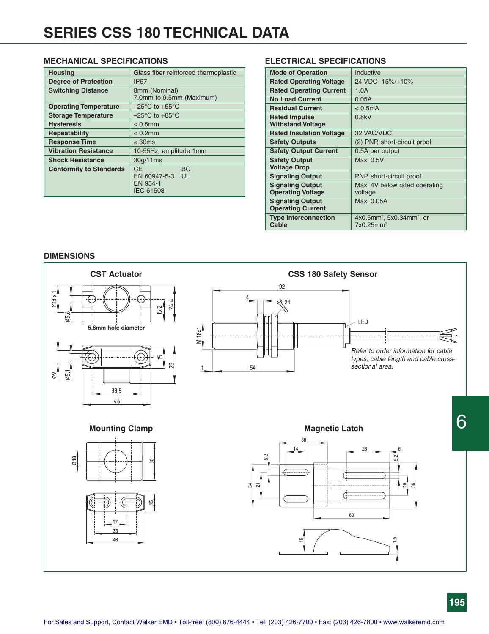### **MECHANICAL SPECIFICATIONS**

| <b>Housing</b>                 | Glass fiber reinforced thermoplastic                                      |  |  |
|--------------------------------|---------------------------------------------------------------------------|--|--|
| <b>Degree of Protection</b>    | <b>IP67</b>                                                               |  |  |
| <b>Switching Distance</b>      | 8mm (Nominal)                                                             |  |  |
|                                | 7.0mm to 9.5mm (Maximum)                                                  |  |  |
| <b>Operating Temperature</b>   | $-25^{\circ}$ C to $+55^{\circ}$ C                                        |  |  |
| <b>Storage Temperature</b>     | $-25^{\circ}$ C to $+85^{\circ}$ C                                        |  |  |
| <b>Hysteresis</b>              | $\leq 0.5$ mm                                                             |  |  |
| Repeatability                  | $\leq 0.2$ mm                                                             |  |  |
| <b>Response Time</b>           | $\leq$ 30ms                                                               |  |  |
| <b>Vibration Resistance</b>    | 10-55Hz, amplitude 1mm                                                    |  |  |
| <b>Shock Resistance</b>        | 30g/11ms                                                                  |  |  |
| <b>Conformity to Standards</b> | <b>CE</b><br><b>BG</b><br>EN 60947-5-3 UL<br>EN 954-1<br><b>IEC 61508</b> |  |  |

### **ELECTRICAL SPECIFICATIONS**

| <b>Mode of Operation</b>        | Inductive                                            |
|---------------------------------|------------------------------------------------------|
| <b>Rated Operating Voltage</b>  | 24 VDC -15%/+10%                                     |
| <b>Rated Operating Current</b>  | 1.0A                                                 |
| <b>No Load Current</b>          | 0.05A                                                |
| <b>Residual Current</b>         | $\leq 0.5$ mA                                        |
| <b>Rated Impulse</b>            | 0.8kV                                                |
| <b>Withstand Voltage</b>        |                                                      |
| <b>Rated Insulation Voltage</b> | 32 VAC/VDC                                           |
| <b>Safety Outputs</b>           | (2) PNP, short-circuit proof                         |
| <b>Safety Output Current</b>    | 0.5A per output                                      |
| <b>Safety Output</b>            | Max. 0.5V                                            |
| <b>Voltage Drop</b>             |                                                      |
| <b>Signaling Output</b>         | PNP, short-circuit proof                             |
| <b>Signaling Output</b>         | Max. 4V below rated operating                        |
| <b>Operating Voltage</b>        | voltage                                              |
| <b>Signaling Output</b>         | Max. 0.05A                                           |
| <b>Operating Current</b>        |                                                      |
| <b>Type Interconnection</b>     | $4x0.5$ mm <sup>2</sup> , 5x0.34mm <sup>2</sup> , or |
| Cable                           | 7x0.25mm <sup>2</sup>                                |
|                                 |                                                      |

### **DIMENSIONS**

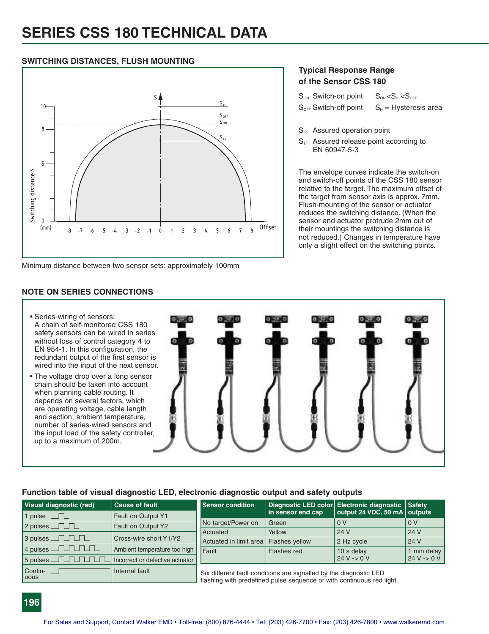### **SWITCHING DISTANCES, FLUSH MOUNTING**



Minimum distance between two sensor sets: approximately 100mm

### **Typical Response Range of the Sensor CSS 180**

| $S_{ON}$ Switch-on point $S_{ON} < S_H < S_{OFF}$ |                                                    |
|---------------------------------------------------|----------------------------------------------------|
|                                                   | $S_{OFF}$ Switch-off point $S_H$ = Hysteresis area |

- S<sub>ao</sub> Assured operation point
- S<sub>ar</sub> Assured release point according to EN 60947-5-3

The envelope curves indicate the switch-on and switch-off points of the CSS 180 sensor relative to the target. The maximum offset of the target from sensor axis is approx. 7mm. Flush-mounting of the sensor or actuator reduces the switching distance. (When the sensor and actuator protrude 2mm out of their mountings the switching distance is not reduced.) Changes in temperature have only a slight effect on the switching points.

### **Function table of visual diagnostic LED, electronic diagnostic output and safety outputs**

| Visual diagnostic (red) | <b>Cause of fault</b>           | <b>Sensor condition</b> |                                                                                                                                             | Diagnostic LED color Electronic diagnostic Safety |                  |
|-------------------------|---------------------------------|-------------------------|---------------------------------------------------------------------------------------------------------------------------------------------|---------------------------------------------------|------------------|
| 1 pulse $\Box$          | Fault on Output Y1              |                         | in sensor end cap                                                                                                                           | output 24 VDC, 50 mA $ $ outputs                  |                  |
| $2$ pulses $\Box$       | Fault on Output Y2              | No target/Power on      | Green                                                                                                                                       | 0 V                                               | $\overline{0}$ V |
|                         |                                 | Actuated                | Yellow                                                                                                                                      | 24 V                                              | 24 V             |
| 3 pulses TITIL          | Cross-wire short Y1/Y2          | Actuated in limit area  | <b>Flashes yellow</b>                                                                                                                       | 2 Hz cycle                                        | 24 V             |
| $4$ pulses $\Box$       | Ambient temperature too high    | Fault                   | Flashes red                                                                                                                                 | 10 s delay                                        | 1 min delay      |
|                         | Incorrect or defective actuator |                         |                                                                                                                                             | $24 V - 0 V$                                      | $24 V - 0 V$     |
| Contin-<br><b>Luous</b> | Internal fault                  |                         | Six different fault conditions are signalled by the diagnostic LED<br>flashing with predefined pulse sequence or with continuous red light. |                                                   |                  |

## **NOTE ON SERIES CONNECTIONS**

- Series-wiring of sensors: A chain of self-monitored CSS 180 safety sensors can be wired in series without loss of control category 4 to EN 954-1. In this configuration, the redundant output of the first sensor is wired into the input of the next sensor.
- The voltage drop over a long sensor chain should be taken into account when planning cable routing. It depends on several factors, which are operating voltage, cable length and section, ambient temperature, number of series-wired sensors and the input load of the safety controller, up to a maximum of 200m.

**196**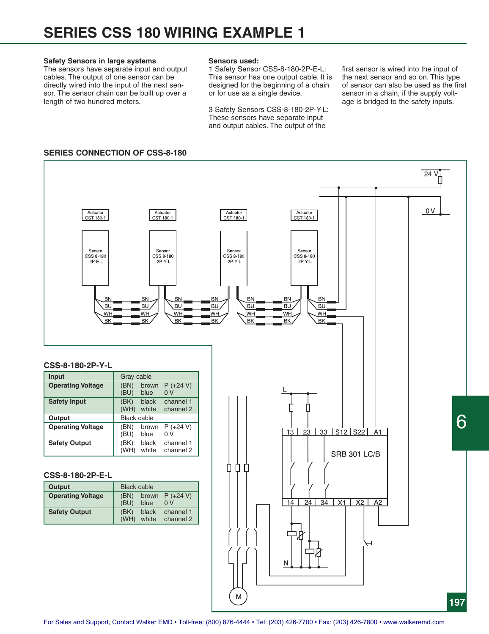### **Safety Sensors in large systems**

The sensors have separate input and output cables. The output of one sensor can be directly wired into the input of the next sensor. The sensor chain can be built up over a length of two hundred meters.

### **Sensors used:**

1 Safety Sensor CSS-8-180-2P-E-L: This sensor has one output cable. It is designed for the beginning of a chain or for use as a single device.

3 Safety Sensors CSS-8-180-2P-Y-L: These sensors have separate input and output cables. The output of the

first sensor is wired into the input of the next sensor and so on. This type of sensor can also be used as the first sensor in a chain, if the supply voltage is bridged to the safety inputs.

### **SERIES CONNECTION OF CSS-8-180**

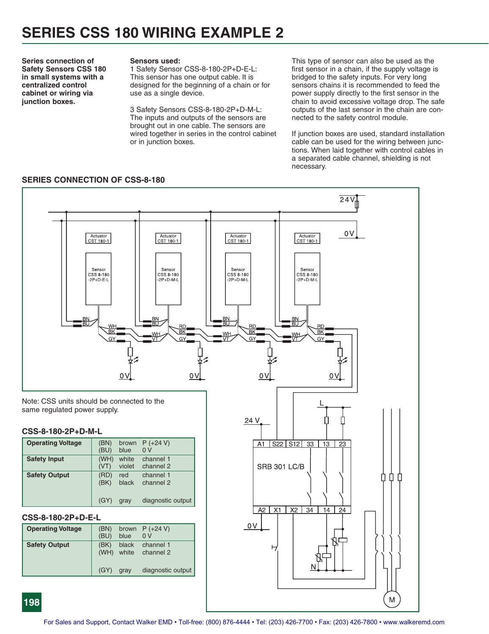**Series connection of Safety Sensors CSS 180 in small systems with a centralized control cabinet or wiring via junction boxes.**

### **Sensors used:**

1 Safety Sensor CSS-8-180-2P+D-E-L: This sensor has one output cable. It is designed for the beginning of a chain or for use as a single device.

3 Safety Sensors CSS-8-180-2P+D-M-L: The inputs and outputs of the sensors are brought out in one cable. The sensors are wired together in series in the control cabinet or in junction boxes.

This type of sensor can also be used as the first sensor in a chain, if the supply voltage is bridged to the safety inputs. For very long sensors chains it is recommended to feed the power supply directly to the first sensor in the chain to avoid excessive voltage drop. The safe outputs of the last sensor in the chain are connected to the safety control module.

If junction boxes are used, standard installation cable can be used for the wiring between junctions. When laid together with control cables in a separated cable channel, shielding is not necessary.



### **SERIES CONNECTION OF CSS-8-180**